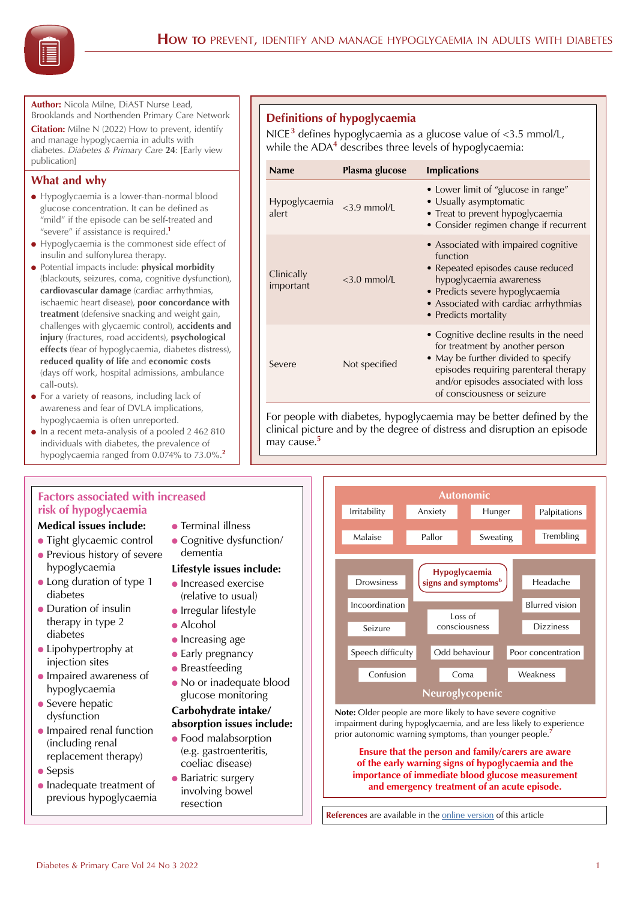**Author:** Nicola Milne, DiAST Nurse Lead, Brooklands and Northenden Primary Care Network

**Citation:** Milne N (2022) How to prevent, identify and manage hypoglycaemia in adults with diabetes. *Diabetes & Primary Care* **24**: [Early view publication]

## **What and why**

- $\bullet$  Hypoglycaemia is a lower-than-normal blood glucose concentration. It can be defined as "mild" if the episode can be self-treated and "severe" if assistance is required.**<sup>1</sup>**
- Hypoglycaemia is the commonest side effect of insulin and sulfonylurea therapy.
- **•** Potential impacts include: **physical morbidity** (blackouts, seizures, coma, cognitive dysfunction), **cardiovascular damage** (cardiac arrhythmias, ischaemic heart disease), **poor concordance with treatment** (defensive snacking and weight gain, challenges with glycaemic control), **accidents and injury** (fractures, road accidents), **psychological effects** (fear of hypoglycaemia, diabetes distress), **reduced quality of life** and **economic costs**  (days off work, hospital admissions, ambulance call-outs).
- $\bullet$  For a variety of reasons, including lack of awareness and fear of DVLA implications, hypoglycaemia is often unreported.
- $\bullet$  In a recent meta-analysis of a pooled 2 462 810 individuals with diabetes, the prevalence of hypoglycaemia ranged from 0.074% to 73.0%.**<sup>2</sup>**

## **Factors associated with increased risk of hypoglycaemia**

## **Medical issues include:**

- Tight glycaemic control
- **Previous history of severe** hypoglycaemia
- Long duration of type 1 diabetes
- $\bullet$  Duration of insulin therapy in type 2 diabetes
- $\bullet$  Lipohypertrophy at injection sites
- **Impaired awareness of** hypoglycaemia
- $\bullet$  Severe hepatic dysfunction
- **Impaired renal function** (including renal replacement therapy)
- $\bullet$  Sepsis
- $\bullet$  Inadequate treatment of previous hypoglycaemia

# **•** Terminal illness

• Cognitive dysfunction/ dementia

## **Lifestyle issues include:**

- $\bullet$  Increased exercise (relative to usual)
- $\bullet$  Irregular lifestyle
- $\bullet$  Alcohol
- $\bullet$  Increasing age
- $\bullet$  Early pregnancy
- $\bullet$  Breastfeeding
- No or inadequate blood glucose monitoring

## **Carbohydrate intake/ absorption issues include:**

- **Food malabsorption** (e.g. gastroenteritis, coeliac disease)
- **Bariatric surgery** involving bowel resection



NICE<sup>3</sup> defines hypoglycaemia as a glucose value of <3.5 mmol/L, while the ADA<sup>4</sup> describes three levels of hypoglycaemia:

| <b>Name</b>             | Plasma glucose | <b>Implications</b>                                                                                                                                                                                                               |
|-------------------------|----------------|-----------------------------------------------------------------------------------------------------------------------------------------------------------------------------------------------------------------------------------|
| Hypoglycaemia<br>alert  | $<$ 3.9 mmol/L | • Lower limit of "glucose in range"<br>• Usually asymptomatic<br>• Treat to prevent hypoglycaemia<br>• Consider regimen change if recurrent                                                                                       |
| Clinically<br>important | $<$ 3.0 mmol/L | • Associated with impaired cognitive<br>function<br>• Repeated episodes cause reduced<br>hypoglycaemia awareness<br>• Predicts severe hypoglycaemia<br>• Associated with cardiac arrhythmias<br>• Predicts mortality              |
| Severe                  | Not specified  | • Cognitive decline results in the need<br>for treatment by another person<br>• May be further divided to specify<br>episodes requiring parenteral therapy<br>and/or episodes associated with loss<br>of consciousness or seizure |

For people with diabetes, hypoglycaemia may be better defined by the clinical picture and by the degree of distress and disruption an episode may cause.**<sup>5</sup>**



**Note:** Older people are more likely to have severe cognitive impairment during hypoglycaemia, and are less likely to experience prior autonomic warning symptoms, than younger people.**<sup>7</sup>**

**Ensure that the person and family/carers are aware of the early warning signs of hypoglycaemia and the importance of immediate blood glucose measurement and emergency treatment of an acute episode.**

**References** are available in the [online version](https://diabetesonthenet.com/diabetes-primary-care/hypoglycaemia-how-to/) of this article